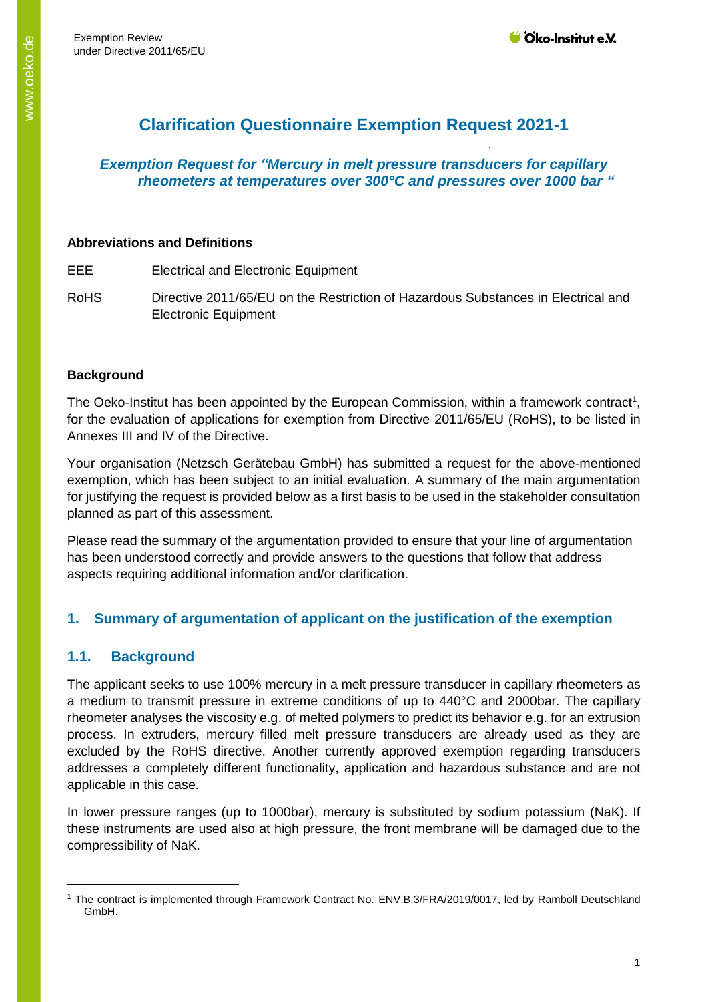# **Clarification Questionnaire Exemption Request 2021-1**

## *Exemption Request for "Mercury in melt pressure transducers for capillary rheometers at temperatures over 300°C and pressures over 1000 bar "*

#### **Abbreviations and Definitions**

EEE Electrical and Electronic Equipment

RoHS Directive 2011/65/EU on the Restriction of Hazardous Substances in Electrical and Electronic Equipment

## **Background**

The Oeko-Institut has been appointed by the European Commission, within a framework contract<sup>1</sup>, for the evaluation of applications for exemption from Directive 2011/65/EU (RoHS), to be listed in Annexes III and IV of the Directive.

Your organisation (Netzsch Gerätebau GmbH) has submitted a request for the above-mentioned exemption, which has been subject to an initial evaluation. A summary of the main argumentation for justifying the request is provided below as a first basis to be used in the stakeholder consultation planned as part of this assessment.

Please read the summary of the argumentation provided to ensure that your line of argumentation has been understood correctly and provide answers to the questions that follow that address aspects requiring additional information and/or clarification.

# **1. Summary of argumentation of applicant on the justification of the exemption**

# **1.1. Background**

-

The applicant seeks to use 100% mercury in a melt pressure transducer in capillary rheometers as a medium to transmit pressure in extreme conditions of up to 440°C and 2000bar. The capillary rheometer analyses the viscosity e.g. of melted polymers to predict its behavior e.g. for an extrusion process. In extruders, mercury filled melt pressure transducers are already used as they are excluded by the RoHS directive. Another currently approved exemption regarding transducers addresses a completely different functionality, application and hazardous substance and are not applicable in this case.

In lower pressure ranges (up to 1000bar), mercury is substituted by sodium potassium (NaK). If these instruments are used also at high pressure, the front membrane will be damaged due to the compressibility of NaK.

<sup>1</sup> The contract is implemented through Framework Contract No. ENV.B.3/FRA/2019/0017, led by Ramboll Deutschland GmbH.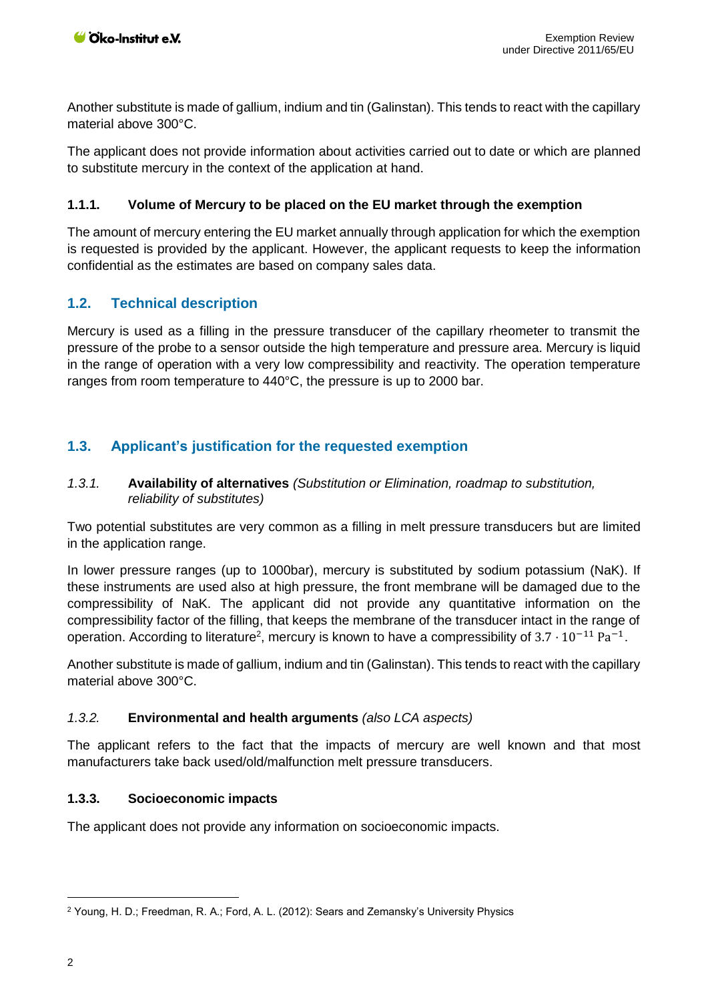Another substitute is made of gallium, indium and tin (Galinstan). This tends to react with the capillary material above 300°C.

The applicant does not provide information about activities carried out to date or which are planned to substitute mercury in the context of the application at hand.

## **1.1.1. Volume of Mercury to be placed on the EU market through the exemption**

The amount of mercury entering the EU market annually through application for which the exemption is requested is provided by the applicant. However, the applicant requests to keep the information confidential as the estimates are based on company sales data.

## **1.2. Technical description**

Mercury is used as a filling in the pressure transducer of the capillary rheometer to transmit the pressure of the probe to a sensor outside the high temperature and pressure area. Mercury is liquid in the range of operation with a very low compressibility and reactivity. The operation temperature ranges from room temperature to 440°C, the pressure is up to 2000 bar.

# **1.3. Applicant's justification for the requested exemption**

#### *1.3.1.* **Availability of alternatives** *(Substitution or Elimination, roadmap to substitution, reliability of substitutes)*

Two potential substitutes are very common as a filling in melt pressure transducers but are limited in the application range.

In lower pressure ranges (up to 1000bar), mercury is substituted by sodium potassium (NaK). If these instruments are used also at high pressure, the front membrane will be damaged due to the compressibility of NaK. The applicant did not provide any quantitative information on the compressibility factor of the filling, that keeps the membrane of the transducer intact in the range of operation. According to literature<sup>2</sup>, mercury is known to have a compressibility of  $3.7 \cdot 10^{-11}$  Pa<sup>-1</sup>.

Another substitute is made of gallium, indium and tin (Galinstan). This tends to react with the capillary material above 300°C.

## *1.3.2.* **Environmental and health arguments** *(also LCA aspects)*

The applicant refers to the fact that the impacts of mercury are well known and that most manufacturers take back used/old/malfunction melt pressure transducers.

#### **1.3.3. Socioeconomic impacts**

The applicant does not provide any information on socioeconomic impacts.

 $\overline{a}$ 

<sup>2</sup> Young, H. D.; Freedman, R. A.; Ford, A. L. (2012): Sears and Zemansky's University Physics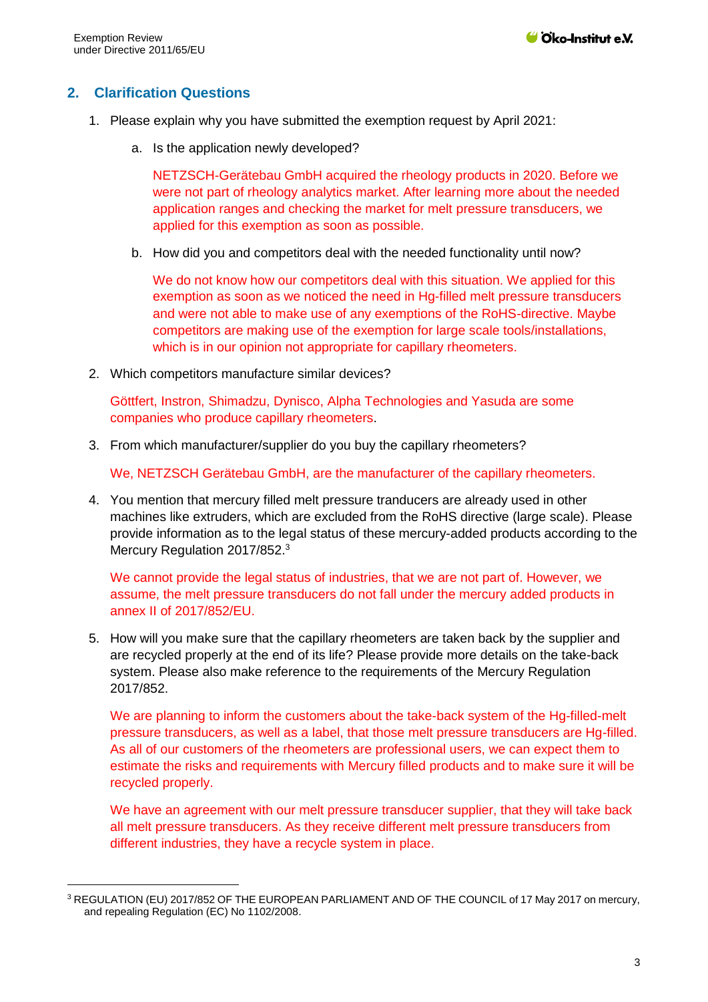-

## **2. Clarification Questions**

- 1. Please explain why you have submitted the exemption request by April 2021:
	- a. Is the application newly developed?

NETZSCH-Gerätebau GmbH acquired the rheology products in 2020. Before we were not part of rheology analytics market. After learning more about the needed application ranges and checking the market for melt pressure transducers, we applied for this exemption as soon as possible.

b. How did you and competitors deal with the needed functionality until now?

We do not know how our competitors deal with this situation. We applied for this exemption as soon as we noticed the need in Hg-filled melt pressure transducers and were not able to make use of any exemptions of the RoHS-directive. Maybe competitors are making use of the exemption for large scale tools/installations, which is in our opinion not appropriate for capillary rheometers.

2. Which competitors manufacture similar devices?

Göttfert, Instron, Shimadzu, Dynisco, Alpha Technologies and Yasuda are some companies who produce capillary rheometers.

3. From which manufacturer/supplier do you buy the capillary rheometers?

We, NETZSCH Gerätebau GmbH, are the manufacturer of the capillary rheometers.

4. You mention that mercury filled melt pressure tranducers are already used in other machines like extruders, which are excluded from the RoHS directive (large scale). Please provide information as to the legal status of these mercury-added products according to the Mercury Regulation 2017/852.<sup>3</sup>

We cannot provide the legal status of industries, that we are not part of. However, we assume, the melt pressure transducers do not fall under the mercury added products in annex II of 2017/852/EU.

5. How will you make sure that the capillary rheometers are taken back by the supplier and are recycled properly at the end of its life? Please provide more details on the take-back system. Please also make reference to the requirements of the Mercury Regulation 2017/852.

We are planning to inform the customers about the take-back system of the Hg-filled-melt pressure transducers, as well as a label, that those melt pressure transducers are Hg-filled. As all of our customers of the rheometers are professional users, we can expect them to estimate the risks and requirements with Mercury filled products and to make sure it will be recycled properly.

We have an agreement with our melt pressure transducer supplier, that they will take back all melt pressure transducers. As they receive different melt pressure transducers from different industries, they have a recycle system in place.

<sup>3</sup> REGULATION (EU) 2017/852 OF THE EUROPEAN PARLIAMENT AND OF THE COUNCIL of 17 May 2017 on mercury, and repealing Regulation (EC) No 1102/2008.